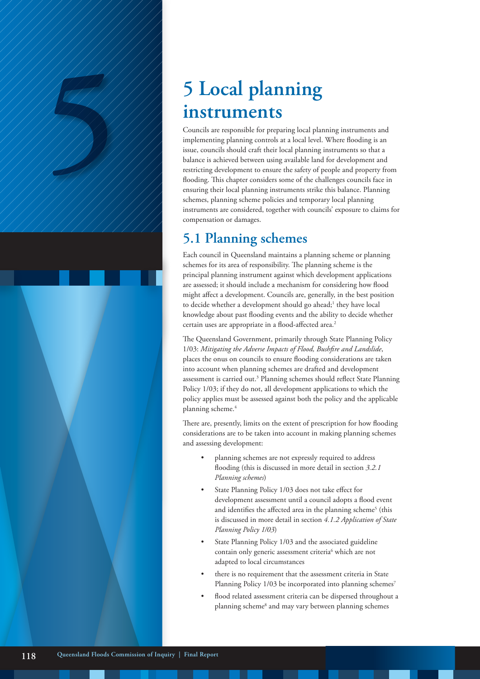# **instruments**

**5 Local planning**<br> **instruments**<br>
Councils are responsible for preparing local planning<br>
implementing planning controls at a local level.<br>
Susue, councils should craft their local planning in<br>
balance is achieved betwee Councils are responsible for preparing local planning instruments and implementing planning controls at a local level. Where flooding is an issue, councils should craft their local planning instruments so that a balance is achieved between using available land for development and restricting development to ensure the safety of people and property from flooding. This chapter considers some of the challenges councils face in ensuring their local planning instruments strike this balance. Planning schemes, planning scheme policies and temporary local planning instruments are considered, together with councils' exposure to claims for compensation or damages.

# **5.1 Planning schemes**

Each council in Queensland maintains a planning scheme or planning schemes for its area of responsibility. The planning scheme is the principal planning instrument against which development applications are assessed; it should include a mechanism for considering how flood might affect a development. Councils are, generally, in the best position to decide whether a development should go ahead;<sup>1</sup> they have local knowledge about past flooding events and the ability to decide whether certain uses are appropriate in a flood-affected area.<sup>2</sup>

The Queensland Government, primarily through State Planning Policy 1/03: *Mitigating the Adverse Impacts of Flood, Bushfire and Landslide*, places the onus on councils to ensure flooding considerations are taken into account when planning schemes are drafted and development assessment is carried out.3 Planning schemes should reflect State Planning Policy 1/03; if they do not, all development applications to which the policy applies must be assessed against both the policy and the applicable planning scheme.<sup>4</sup>

There are, presently, limits on the extent of prescription for how flooding considerations are to be taken into account in making planning schemes and assessing development:

- planning schemes are not expressly required to address flooding (this is discussed in more detail in section *3.2.1 Planning schemes*)
- State Planning Policy 1/03 does not take effect for development assessment until a council adopts a flood event and identifies the affected area in the planning scheme<sup>5</sup> (this is discussed in more detail in section *4.1.2 Application of State Planning Policy 1/03*)
- State Planning Policy 1/03 and the associated guideline contain only generic assessment criteria<sup>6</sup> which are not adapted to local circumstances
- there is no requirement that the assessment criteria in State Planning Policy 1/03 be incorporated into planning schemes<sup>7</sup>
- flood related assessment criteria can be dispersed throughout a planning scheme<sup>8</sup> and may vary between planning schemes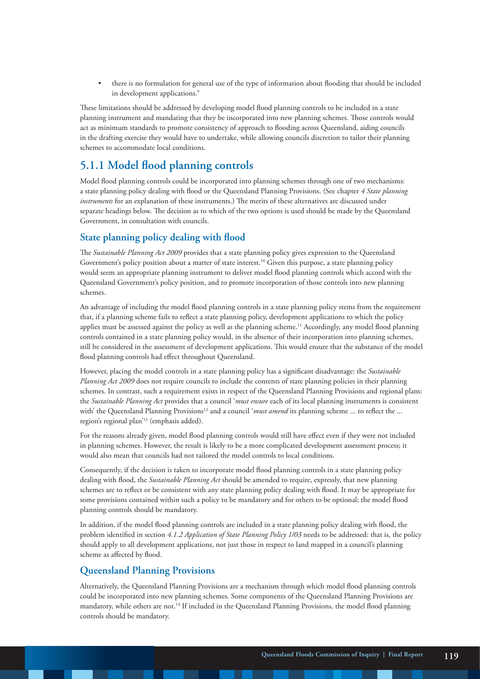• there is no formulation for general use of the type of information about flooding that should be included in development applications.<sup>9</sup>

These limitations should be addressed by developing model flood planning controls to be included in a state planning instrument and mandating that they be incorporated into new planning schemes. Those controls would act as minimum standards to promote consistency of approach to flooding across Queensland, aiding councils in the drafting exercise they would have to undertake, while allowing councils discretion to tailor their planning schemes to accommodate local conditions.

## **5.1.1 Model flood planning controls**

Model flood planning controls could be incorporated into planning schemes through one of two mechanisms: a state planning policy dealing with flood or the Queensland Planning Provisions. (See chapter *4 State planning instruments* for an explanation of these instruments.) The merits of these alternatives are discussed under separate headings below. The decision as to which of the two options is used should be made by the Queensland Government, in consultation with councils.

#### **State planning policy dealing with flood**

The *Sustainable Planning Act 2009* provides that a state planning policy gives expression to the Queensland Government's policy position about a matter of state interest.10 Given this purpose, a state planning policy would seem an appropriate planning instrument to deliver model flood planning controls which accord with the Queensland Government's policy position, and to promote incorporation of those controls into new planning schemes.

An advantage of including the model flood planning controls in a state planning policy stems from the requirement that, if a planning scheme fails to reflect a state planning policy, development applications to which the policy applies must be assessed against the policy as well as the planning scheme.<sup>11</sup> Accordingly, any model flood planning controls contained in a state planning policy would, in the absence of their incorporation into planning schemes, still be considered in the assessment of development applications. This would ensure that the substance of the model flood planning controls had effect throughout Queensland.

However, placing the model controls in a state planning policy has a significant disadvantage: the *Sustainable Planning Act 2009* does not require councils to include the contents of state planning policies in their planning schemes. In contrast, such a requirement exists in respect of the Queensland Planning Provisions and regional plans: the *Sustainable Planning Act* provides that a council '*must ensure* each of its local planning instruments is consistent with' the Queensland Planning Provisions<sup>12</sup> and a council '*must amend* its planning scheme ... to reflect the ... region's regional plan'13 (emphasis added).

For the reasons already given, model flood planning controls would still have effect even if they were not included in planning schemes. However, the result is likely to be a more complicated development assessment process; it would also mean that councils had not tailored the model controls to local conditions.

Consequently, if the decision is taken to incorporate model flood planning controls in a state planning policy dealing with flood, the *Sustainable Planning Act* should be amended to require, expressly, that new planning schemes are to reflect or be consistent with any state planning policy dealing with flood. It may be appropriate for some provisions contained within such a policy to be mandatory and for others to be optional; the model flood planning controls should be mandatory.

In addition, if the model flood planning controls are included in a state planning policy dealing with flood, the problem identified in section *4.1.2 Application of State Planning Policy 1/03* needs to be addressed: that is, the policy should apply to all development applications, not just those in respect to land mapped in a council's planning scheme as affected by flood.

#### **Queensland Planning Provisions**

Alternatively, the Queensland Planning Provisions are a mechanism through which model flood planning controls could be incorporated into new planning schemes. Some components of the Queensland Planning Provisions are mandatory, while others are not.14 If included in the Queensland Planning Provisions, the model flood planning controls should be mandatory.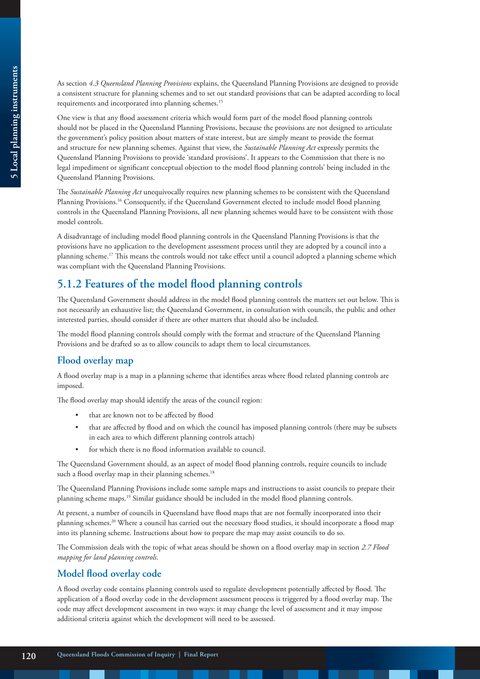As section *4.3 Queensland Planning Provisions* explains, the Queensland Planning Provisions are designed to provide a consistent structure for planning schemes and to set out standard provisions that can be adapted according to local requirements and incorporated into planning schemes.<sup>15</sup>

One view is that any flood assessment criteria which would form part of the model flood planning controls should not be placed in the Queensland Planning Provisions, because the provisions are not designed to articulate the government's policy position about matters of state interest, but are simply meant to provide the format and structure for new planning schemes. Against that view, the *Sustainable Planning Act* expressly permits the Queensland Planning Provisions to provide 'standard provisions'. It appears to the Commission that there is no legal impediment or significant conceptual objection to the model flood planning controls' being included in the Queensland Planning Provisions.

The *Sustainable Planning Act* unequivocally requires new planning schemes to be consistent with the Queensland Planning Provisions.<sup>16</sup> Consequently, if the Queensland Government elected to include model flood planning controls in the Queensland Planning Provisions, all new planning schemes would have to be consistent with those model controls.

A disadvantage of including model flood planning controls in the Queensland Planning Provisions is that the provisions have no application to the development assessment process until they are adopted by a council into a planning scheme.17 This means the controls would not take effect until a council adopted a planning scheme which was compliant with the Queensland Planning Provisions.

## **5.1.2 Features of the model flood planning controls**

The Queensland Government should address in the model flood planning controls the matters set out below. This is not necessarily an exhaustive list; the Queensland Government, in consultation with councils, the public and other interested parties, should consider if there are other matters that should also be included.

The model flood planning controls should comply with the format and structure of the Queensland Planning Provisions and be drafted so as to allow councils to adapt them to local circumstances.

## **Flood overlay map**

A flood overlay map is a map in a planning scheme that identifies areas where flood related planning controls are imposed.

The flood overlay map should identify the areas of the council region:

- that are known not to be affected by flood
- that are affected by flood and on which the council has imposed planning controls (there may be subsets in each area to which different planning controls attach)
- for which there is no flood information available to council.

The Queensland Government should, as an aspect of model flood planning controls, require councils to include such a flood overlay map in their planning schemes.<sup>18</sup>

The Queensland Planning Provisions include some sample maps and instructions to assist councils to prepare their planning scheme maps.19 Similar guidance should be included in the model flood planning controls.

At present, a number of councils in Queensland have flood maps that are not formally incorporated into their planning schemes.20 Where a council has carried out the necessary flood studies, it should incorporate a flood map into its planning scheme. Instructions about how to prepare the map may assist councils to do so.

The Commission deals with the topic of what areas should be shown on a flood overlay map in section *2.7 Flood mapping for land planning controls*.

#### **Model flood overlay code**

A flood overlay code contains planning controls used to regulate development potentially affected by flood. The application of a flood overlay code in the development assessment process is triggered by a flood overlay map. The code may affect development assessment in two ways: it may change the level of assessment and it may impose additional criteria against which the development will need to be assessed.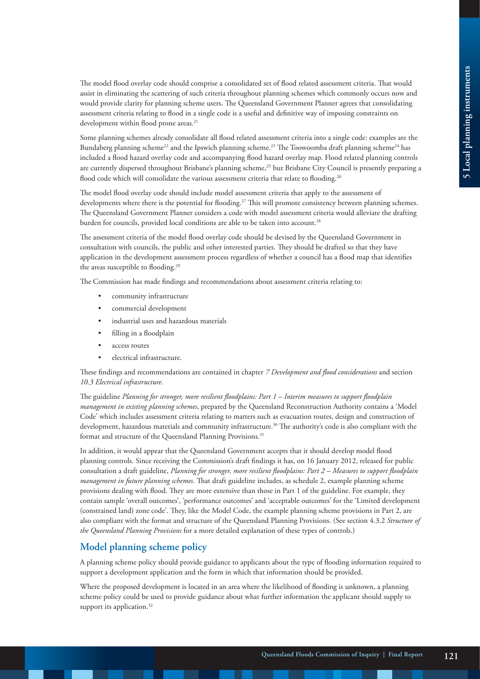The model flood overlay code should comprise a consolidated set of flood related assessment criteria. That would assist in eliminating the scattering of such criteria throughout planning schemes which commonly occurs now and would provide clarity for planning scheme users. The Queensland Government Planner agrees that consolidating assessment criteria relating to flood in a single code is a useful and definitive way of imposing constraints on development within flood prone areas.<sup>21</sup>

Some planning schemes already consolidate all flood related assessment criteria into a single code: examples are the Bundaberg planning scheme<sup>22</sup> and the Ipswich planning scheme.<sup>23</sup> The Toowoomba draft planning scheme<sup>24</sup> has included a flood hazard overlay code and accompanying flood hazard overlay map. Flood related planning controls are currently dispersed throughout Brisbane's planning scheme,<sup>25</sup> but Brisbane City Council is presently preparing a flood code which will consolidate the various assessment criteria that relate to flooding.<sup>26</sup>

The model flood overlay code should include model assessment criteria that apply to the assessment of developments where there is the potential for flooding.<sup>27</sup> This will promote consistency between planning schemes. The Queensland Government Planner considers a code with model assessment criteria would alleviate the drafting burden for councils, provided local conditions are able to be taken into account.<sup>28</sup>

The assessment criteria of the model flood overlay code should be devised by the Queensland Government in consultation with councils, the public and other interested parties. They should be drafted so that they have application in the development assessment process regardless of whether a council has a flood map that identifies the areas susceptible to flooding.29

The Commission has made findings and recommendations about assessment criteria relating to:

- community infrastructure
- commercial development
- industrial uses and hazardous materials
- filling in a floodplain
- access routes
- electrical infrastructure.

These findings and recommendations are contained in chapter *7 Development and flood considerations* and section *10.3 Electrical infrastructure*.

The guideline *Planning for stronger, more resilient floodplains: Part 1 – Interim measures to support floodplain management in existing planning schemes*, prepared by the Queensland Reconstruction Authority contains a 'Model Code' which includes assessment criteria relating to matters such as evacuation routes, design and construction of development, hazardous materials and community infrastructure.<sup>30</sup> The authority's code is also compliant with the format and structure of the Queensland Planning Provisions.<sup>31</sup>

In addition, it would appear that the Queensland Government accepts that it should develop model flood planning controls. Since receiving the Commission's draft findings it has, on 16 January 2012, released for public consultation a draft guideline, *Planning for stronger, more resilient floodplains: Part 2 – Measures to support floodplain management in future planning schemes*. That draft guideline includes, as schedule 2, example planning scheme provisions dealing with flood. They are more extensive than those in Part 1 of the guideline. For example, they contain sample 'overall outcomes', 'performance outcomes' and 'acceptable outcomes' for the 'Limited development (constrained land) zone code'. They, like the Model Code, the example planning scheme provisions in Part 2, are also compliant with the format and structure of the Queensland Planning Provisions. (See section 4.3.2 *Structure of the Queensland Planning Provisions* for a more detailed explanation of these types of controls.)

#### **Model planning scheme policy**

A planning scheme policy should provide guidance to applicants about the type of flooding information required to support a development application and the form in which that information should be provided.

Where the proposed development is located in an area where the likelihood of flooding is unknown, a planning scheme policy could be used to provide guidance about what further information the applicant should supply to support its application.<sup>32</sup>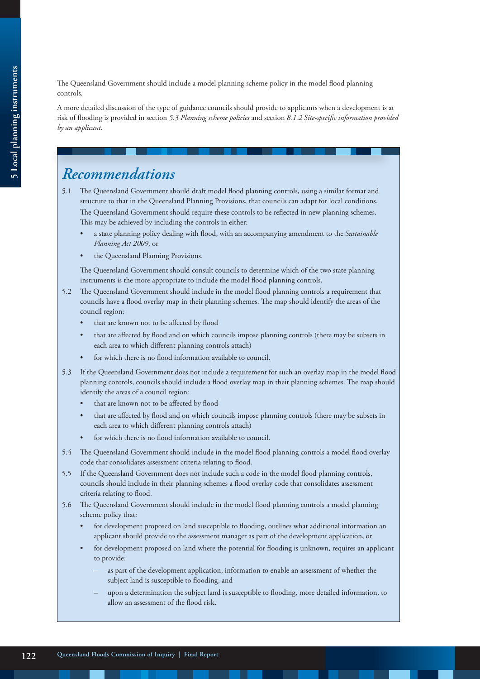The Queensland Government should include a model planning scheme policy in the model flood planning controls.

A more detailed discussion of the type of guidance councils should provide to applicants when a development is at risk of flooding is provided in section *5.3 Planning scheme policies* and section *8.1.2 Site-specific information provided by an applicant.*

# *Recommendations*

- 5.1 The Queensland Government should draft model flood planning controls, using a similar format and structure to that in the Queensland Planning Provisions, that councils can adapt for local conditions. The Queensland Government should require these controls to be reflected in new planning schemes. This may be achieved by including the controls in either:
	- a state planning policy dealing with flood, with an accompanying amendment to the *Sustainable Planning Act 2009*, or
	- the Queensland Planning Provisions.

 The Queensland Government should consult councils to determine which of the two state planning instruments is the more appropriate to include the model flood planning controls.

- 5.2 The Queensland Government should include in the model flood planning controls a requirement that councils have a flood overlay map in their planning schemes. The map should identify the areas of the council region:
	- that are known not to be affected by flood
	- that are affected by flood and on which councils impose planning controls (there may be subsets in each area to which different planning controls attach)
	- for which there is no flood information available to council.
- 5.3 If the Queensland Government does not include a requirement for such an overlay map in the model flood planning controls, councils should include a flood overlay map in their planning schemes. The map should identify the areas of a council region:
	- that are known not to be affected by flood
	- that are affected by flood and on which councils impose planning controls (there may be subsets in each area to which different planning controls attach)
	- for which there is no flood information available to council.
- 5.4 The Queensland Government should include in the model flood planning controls a model flood overlay code that consolidates assessment criteria relating to flood.
- 5.5 If the Queensland Government does not include such a code in the model flood planning controls, councils should include in their planning schemes a flood overlay code that consolidates assessment criteria relating to flood.
- 5.6 The Queensland Government should include in the model flood planning controls a model planning scheme policy that:
	- for development proposed on land susceptible to flooding, outlines what additional information an applicant should provide to the assessment manager as part of the development application, or
	- for development proposed on land where the potential for flooding is unknown, requires an applicant to provide:
		- as part of the development application, information to enable an assessment of whether the subject land is susceptible to flooding, and
		- upon a determination the subject land is susceptible to flooding, more detailed information, to allow an assessment of the flood risk.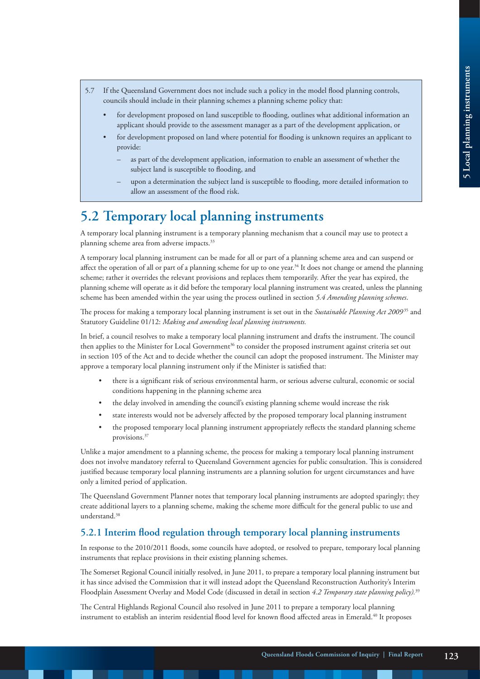- 5.7 If the Queensland Government does not include such a policy in the model flood planning controls, councils should include in their planning schemes a planning scheme policy that:
	- for development proposed on land susceptible to flooding, outlines what additional information an applicant should provide to the assessment manager as a part of the development application, or
	- for development proposed on land where potential for flooding is unknown requires an applicant to provide:
		- as part of the development application, information to enable an assessment of whether the subject land is susceptible to flooding, and
		- upon a determination the subject land is susceptible to flooding, more detailed information to allow an assessment of the flood risk.

# **5.2 Temporary local planning instruments**

A temporary local planning instrument is a temporary planning mechanism that a council may use to protect a planning scheme area from adverse impacts.<sup>33</sup>

A temporary local planning instrument can be made for all or part of a planning scheme area and can suspend or affect the operation of all or part of a planning scheme for up to one year.<sup>34</sup> It does not change or amend the planning scheme; rather it overrides the relevant provisions and replaces them temporarily. After the year has expired, the planning scheme will operate as it did before the temporary local planning instrument was created, unless the planning scheme has been amended within the year using the process outlined in section *5.4 Amending planning schemes*.

The process for making a temporary local planning instrument is set out in the *Sustainable Planning Act 2009*<sup>35</sup> and Statutory Guideline 01/12: *Making and amending local planning instruments.* 

In brief, a council resolves to make a temporary local planning instrument and drafts the instrument. The council then applies to the Minister for Local Government<sup>36</sup> to consider the proposed instrument against criteria set out in section 105 of the Act and to decide whether the council can adopt the proposed instrument. The Minister may approve a temporary local planning instrument only if the Minister is satisfied that:

- there is a significant risk of serious environmental harm, or serious adverse cultural, economic or social conditions happening in the planning scheme area
- the delay involved in amending the council's existing planning scheme would increase the risk
- state interests would not be adversely affected by the proposed temporary local planning instrument
- the proposed temporary local planning instrument appropriately reflects the standard planning scheme provisions.37

Unlike a major amendment to a planning scheme, the process for making a temporary local planning instrument does not involve mandatory referral to Queensland Government agencies for public consultation. This is considered justified because temporary local planning instruments are a planning solution for urgent circumstances and have only a limited period of application.

The Queensland Government Planner notes that temporary local planning instruments are adopted sparingly; they create additional layers to a planning scheme, making the scheme more difficult for the general public to use and understand.<sup>38</sup>

#### **5.2.1 Interim flood regulation through temporary local planning instruments**

In response to the 2010/2011 floods, some councils have adopted, or resolved to prepare, temporary local planning instruments that replace provisions in their existing planning schemes.

The Somerset Regional Council initially resolved, in June 2011, to prepare a temporary local planning instrument but it has since advised the Commission that it will instead adopt the Queensland Reconstruction Authority's Interim Floodplain Assessment Overlay and Model Code (discussed in detail in section *4.2 Temporary state planning policy).*<sup>39</sup>

The Central Highlands Regional Council also resolved in June 2011 to prepare a temporary local planning instrument to establish an interim residential flood level for known flood affected areas in Emerald.<sup>40</sup> It proposes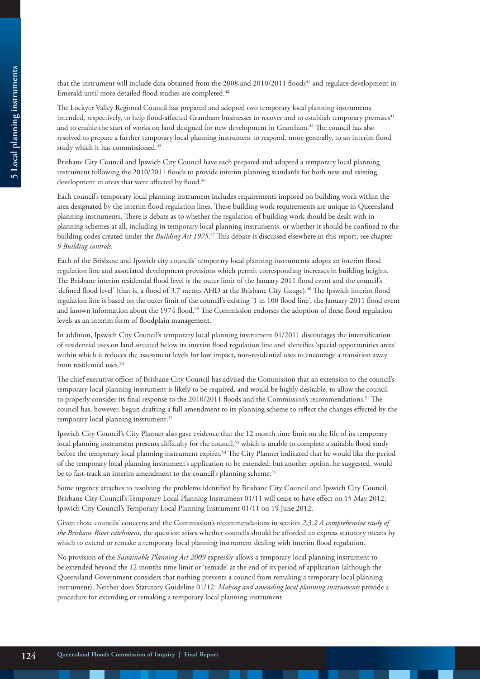that the instrument will include data obtained from the 2008 and 2010/2011 floods<sup>41</sup> and regulate development in Emerald until more detailed flood studies are completed.<sup>42</sup>

The Lockyer Valley Regional Council has prepared and adopted two temporary local planning instruments intended, respectively, to help flood-affected Grantham businesses to recover and to establish temporary premises<sup>43</sup> and to enable the start of works on land designed for new development in Grantham.<sup>44</sup> The council has also resolved to prepare a further temporary local planning instrument to respond, more generally, to an interim flood study which it has commissioned.<sup>45</sup>

Brisbane City Council and Ipswich City Council have each prepared and adopted a temporary local planning instrument following the 2010/2011 floods to provide interim planning standards for both new and existing development in areas that were affected by flood.<sup>46</sup>

Each council's temporary local planning instrument includes requirements imposed on building work within the area designated by the interim flood regulation lines. These building work requirements are unique in Queensland planning instruments. There is debate as to whether the regulation of building work should be dealt with in planning schemes at all, including in temporary local planning instruments, or whether it should be confined to the building codes created under the *Building Act 1975*. 47 This debate is discussed elsewhere in this report, see chapter *9 Building controls.*

Each of the Brisbane and Ipswich city councils' temporary local planning instruments adopts an interim flood regulation line and associated development provisions which permit corresponding increases in building heights. The Brisbane interim residential flood level is the outer limit of the January 2011 flood event and the council's 'defined flood level' (that is, a flood of 3.7 metres AHD at the Brisbane City Gauge).48 The Ipswich interim flood regulation line is based on the outer limit of the council's existing '1 in 100 flood line', the January 2011 flood event and known information about the 1974 flood.<sup>49</sup> The Commission endorses the adoption of these flood regulation levels as an interim form of floodplain management.

In addition, Ipswich City Council's temporary local planning instrument 01/2011 discourages the intensification of residential uses on land situated below its interim flood regulation line and identifies 'special opportunities areas' within which it reduces the assessment levels for low impact, non-residential uses to encourage a transition away from residential uses.<sup>50</sup>

The chief executive officer of Brisbane City Council has advised the Commission that an extension to the council's temporary local planning instrument is likely to be required, and would be highly desirable, to allow the council to properly consider its final response to the 2010/2011 floods and the Commission's recommendations.<sup>51</sup> The council has, however, begun drafting a full amendment to its planning scheme to reflect the changes effected by the temporary local planning instrument.<sup>52</sup>

Ipswich City Council's City Planner also gave evidence that the 12 month time limit on the life of its temporary local planning instrument presents difficulty for the council,<sup>53</sup> which is unable to complete a suitable flood study before the temporary local planning instrument expires.<sup>54</sup> The City Planner indicated that he would like the period of the temporary local planning instrument's application to be extended; but another option, he suggested, would be to fast-track an interim amendment to the council's planning scheme.<sup>55</sup>

Some urgency attaches to resolving the problems identified by Brisbane City Council and Ipswich City Council. Brisbane City Council's Temporary Local Planning Instrument 01/11 will cease to have effect on 15 May 2012; Ipswich City Council's Temporary Local Planning Instrument 01/11 on 19 June 2012.

Given those councils' concerns and the Commission's recommendations in section *2.3.2 A comprehensive study of the Brisbane River catchment*, the question arises whether councils should be afforded an express statutory means by which to extend or remake a temporary local planning instrument dealing with interim flood regulation.

No provision of the *Sustainable Planning Act 2009* expressly allows a temporary local planning instrument to be extended beyond the 12 months time limit or 'remade' at the end of its period of application (although the Queensland Government considers that nothing prevents a council from remaking a temporary local planning instrument). Neither does Statutory Guideline 01/12: *Making and amending local planning instruments* provide a procedure for extending or remaking a temporary local planning instrument.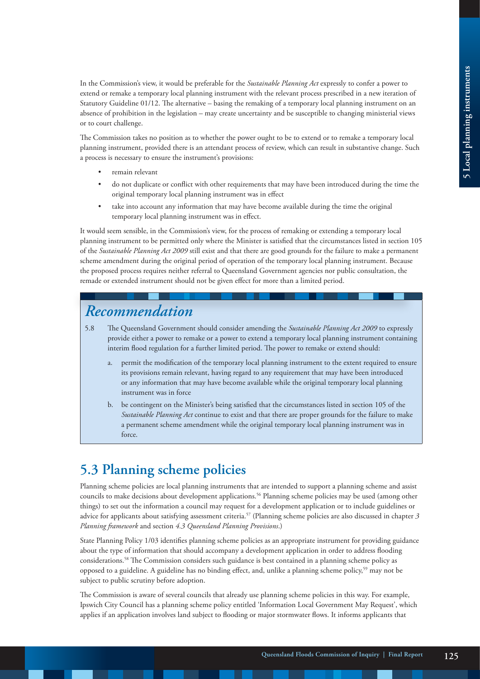In the Commission's view, it would be preferable for the *Sustainable Planning Act* expressly to confer a power to extend or remake a temporary local planning instrument with the relevant process prescribed in a new iteration of Statutory Guideline 01/12. The alternative – basing the remaking of a temporary local planning instrument on an absence of prohibition in the legislation – may create uncertainty and be susceptible to changing ministerial views or to court challenge.

The Commission takes no position as to whether the power ought to be to extend or to remake a temporary local planning instrument, provided there is an attendant process of review, which can result in substantive change. Such a process is necessary to ensure the instrument's provisions:

- remain relevant
- do not duplicate or conflict with other requirements that may have been introduced during the time the original temporary local planning instrument was in effect
- take into account any information that may have become available during the time the original temporary local planning instrument was in effect.

It would seem sensible, in the Commission's view, for the process of remaking or extending a temporary local planning instrument to be permitted only where the Minister is satisfied that the circumstances listed in section 105 of the *Sustainable Planning Act 2009* still exist and that there are good grounds for the failure to make a permanent scheme amendment during the original period of operation of the temporary local planning instrument. Because the proposed process requires neither referral to Queensland Government agencies nor public consultation, the remade or extended instrument should not be given effect for more than a limited period.

# *Recommendation*

- 5.8 The Queensland Government should consider amending the *Sustainable Planning Act 2009* to expressly provide either a power to remake or a power to extend a temporary local planning instrument containing interim flood regulation for a further limited period. The power to remake or extend should:
	- permit the modification of the temporary local planning instrument to the extent required to ensure its provisions remain relevant, having regard to any requirement that may have been introduced or any information that may have become available while the original temporary local planning instrument was in force
	- b. be contingent on the Minister's being satisfied that the circumstances listed in section 105 of the *Sustainable Planning Act* continue to exist and that there are proper grounds for the failure to make a permanent scheme amendment while the original temporary local planning instrument was in force.

# **5.3 Planning scheme policies**

Planning scheme policies are local planning instruments that are intended to support a planning scheme and assist councils to make decisions about development applications.56 Planning scheme policies may be used (among other things) to set out the information a council may request for a development application or to include guidelines or advice for applicants about satisfying assessment criteria.57 (Planning scheme policies are also discussed in chapter *3 Planning framework* and section *4.3 Queensland Planning Provisions*.)

State Planning Policy 1/03 identifies planning scheme policies as an appropriate instrument for providing guidance about the type of information that should accompany a development application in order to address flooding considerations.58 The Commission considers such guidance is best contained in a planning scheme policy as opposed to a guideline. A guideline has no binding effect, and, unlike a planning scheme policy,<sup>59</sup> may not be subject to public scrutiny before adoption.

The Commission is aware of several councils that already use planning scheme policies in this way. For example, Ipswich City Council has a planning scheme policy entitled 'Information Local Government May Request', which applies if an application involves land subject to flooding or major stormwater flows. It informs applicants that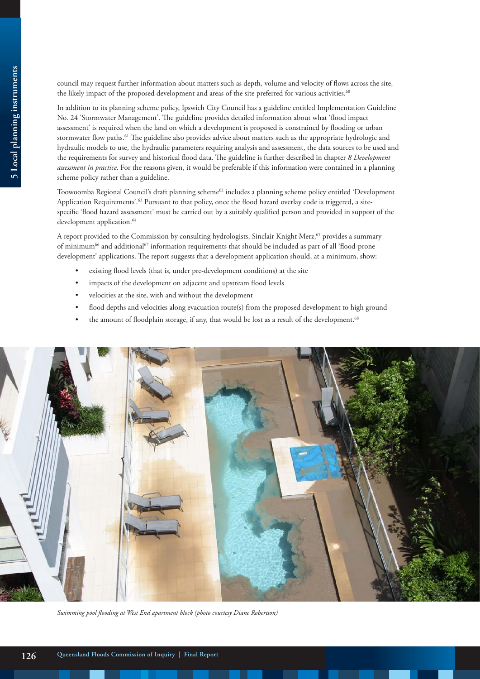council may request further information about matters such as depth, volume and velocity of flows across the site, the likely impact of the proposed development and areas of the site preferred for various activities.<sup>60</sup>

In addition to its planning scheme policy, Ipswich City Council has a guideline entitled Implementation Guideline No. 24 'Stormwater Management'. The guideline provides detailed information about what 'flood impact assessment' is required when the land on which a development is proposed is constrained by flooding or urban stormwater flow paths.<sup>61</sup> The guideline also provides advice about matters such as the appropriate hydrologic and hydraulic models to use, the hydraulic parameters requiring analysis and assessment, the data sources to be used and the requirements for survey and historical flood data. The guideline is further described in chapter *8 Development assessment in practice*. For the reasons given, it would be preferable if this information were contained in a planning scheme policy rather than a guideline.

Toowoomba Regional Council's draft planning scheme<sup>62</sup> includes a planning scheme policy entitled 'Development' Application Requirements'.<sup>63</sup> Pursuant to that policy, once the flood hazard overlay code is triggered, a sitespecific 'flood hazard assessment' must be carried out by a suitably qualified person and provided in support of the development application.<sup>64</sup>

A report provided to the Commission by consulting hydrologists, Sinclair Knight Merz,<sup>65</sup> provides a summary of minimum<sup>66</sup> and additional<sup>67</sup> information requirements that should be included as part of all 'flood-prone development' applications. The report suggests that a development application should, at a minimum, show:

- existing flood levels (that is, under pre-development conditions) at the site
- impacts of the development on adjacent and upstream flood levels
- velocities at the site, with and without the development
- flood depths and velocities along evacuation route(s) from the proposed development to high ground
- the amount of floodplain storage, if any, that would be lost as a result of the development.<sup>68</sup>



*Swimming pool flooding at West End apartment block (photo courtesy Diane Robertson)*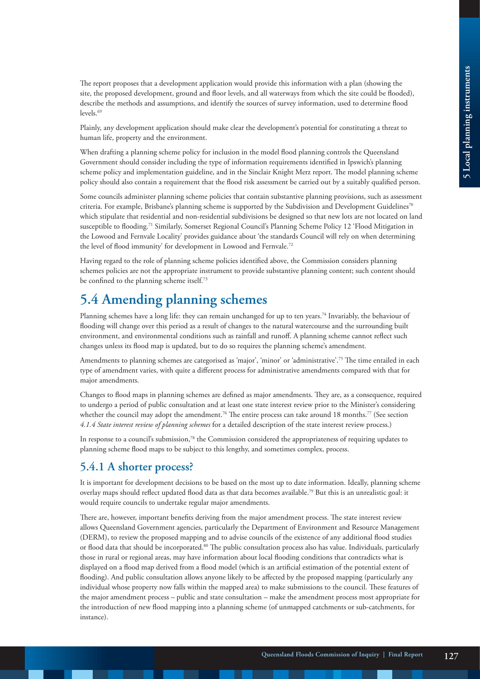The report proposes that a development application would provide this information with a plan (showing the site, the proposed development, ground and floor levels, and all waterways from which the site could be flooded), describe the methods and assumptions, and identify the sources of survey information, used to determine flood levels.<sup>69</sup>

Plainly, any development application should make clear the development's potential for constituting a threat to human life, property and the environment.

When drafting a planning scheme policy for inclusion in the model flood planning controls the Queensland Government should consider including the type of information requirements identified in Ipswich's planning scheme policy and implementation guideline, and in the Sinclair Knight Merz report. The model planning scheme policy should also contain a requirement that the flood risk assessment be carried out by a suitably qualified person.

Some councils administer planning scheme policies that contain substantive planning provisions, such as assessment criteria. For example, Brisbane's planning scheme is supported by the Subdivision and Development Guidelines<sup>70</sup> which stipulate that residential and non-residential subdivisions be designed so that new lots are not located on land susceptible to flooding.71 Similarly, Somerset Regional Council's Planning Scheme Policy 12 'Flood Mitigation in the Lowood and Fernvale Locality' provides guidance about 'the standards Council will rely on when determining the level of flood immunity' for development in Lowood and Fernvale.<sup>72</sup>

Having regard to the role of planning scheme policies identified above, the Commission considers planning schemes policies are not the appropriate instrument to provide substantive planning content; such content should be confined to the planning scheme itself.73

# **5.4 Amending planning schemes**

Planning schemes have a long life: they can remain unchanged for up to ten years.<sup>74</sup> Invariably, the behaviour of flooding will change over this period as a result of changes to the natural watercourse and the surrounding built environment, and environmental conditions such as rainfall and runoff. A planning scheme cannot reflect such changes unless its flood map is updated, but to do so requires the planning scheme's amendment.

Amendments to planning schemes are categorised as 'major', 'minor' or 'administrative'.75 The time entailed in each type of amendment varies, with quite a different process for administrative amendments compared with that for major amendments.

Changes to flood maps in planning schemes are defined as major amendments. They are, as a consequence, required to undergo a period of public consultation and at least one state interest review prior to the Minister's considering whether the council may adopt the amendment.<sup>76</sup> The entire process can take around 18 months.<sup>77</sup> (See section *4.1.4 State interest review of planning schemes* for a detailed description of the state interest review process.)

In response to a council's submission,<sup>78</sup> the Commission considered the appropriateness of requiring updates to planning scheme flood maps to be subject to this lengthy, and sometimes complex, process.

## **5.4.1 A shorter process?**

It is important for development decisions to be based on the most up to date information. Ideally, planning scheme overlay maps should reflect updated flood data as that data becomes available.79 But this is an unrealistic goal: it would require councils to undertake regular major amendments.

There are, however, important benefits deriving from the major amendment process. The state interest review allows Queensland Government agencies, particularly the Department of Environment and Resource Management (DERM), to review the proposed mapping and to advise councils of the existence of any additional flood studies or flood data that should be incorporated.<sup>80</sup> The public consultation process also has value. Individuals, particularly those in rural or regional areas, may have information about local flooding conditions that contradicts what is displayed on a flood map derived from a flood model (which is an artificial estimation of the potential extent of flooding). And public consultation allows anyone likely to be affected by the proposed mapping (particularly any individual whose property now falls within the mapped area) to make submissions to the council. These features of the major amendment process – public and state consultation – make the amendment process most appropriate for the introduction of new flood mapping into a planning scheme (of unmapped catchments or sub-catchments, for instance).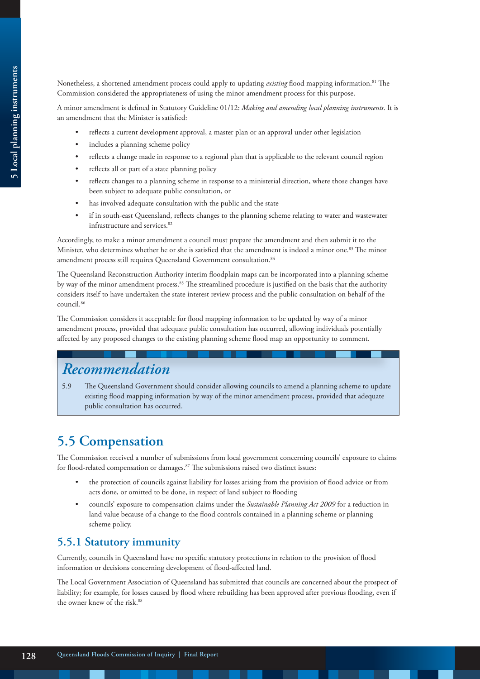Nonetheless, a shortened amendment process could apply to updating *existing* flood mapping information.81 The Commission considered the appropriateness of using the minor amendment process for this purpose.

A minor amendment is defined in Statutory Guideline 01/12: *Making and amending local planning instruments*. It is an amendment that the Minister is satisfied:

- reflects a current development approval, a master plan or an approval under other legislation
- includes a planning scheme policy
- reflects a change made in response to a regional plan that is applicable to the relevant council region
- reflects all or part of a state planning policy
- reflects changes to a planning scheme in response to a ministerial direction, where those changes have been subject to adequate public consultation, or
- has involved adequate consultation with the public and the state
- if in south-east Queensland, reflects changes to the planning scheme relating to water and wastewater infrastructure and services.<sup>82</sup>

Accordingly, to make a minor amendment a council must prepare the amendment and then submit it to the Minister, who determines whether he or she is satisfied that the amendment is indeed a minor one.83 The minor amendment process still requires Queensland Government consultation.<sup>84</sup>

The Queensland Reconstruction Authority interim floodplain maps can be incorporated into a planning scheme by way of the minor amendment process.<sup>85</sup> The streamlined procedure is justified on the basis that the authority considers itself to have undertaken the state interest review process and the public consultation on behalf of the council.86

The Commission considers it acceptable for flood mapping information to be updated by way of a minor amendment process, provided that adequate public consultation has occurred, allowing individuals potentially affected by any proposed changes to the existing planning scheme flood map an opportunity to comment.

# *Recommendation*

5.9 The Queensland Government should consider allowing councils to amend a planning scheme to update existing flood mapping information by way of the minor amendment process, provided that adequate public consultation has occurred.

# **5.5 Compensation**

The Commission received a number of submissions from local government concerning councils' exposure to claims for flood-related compensation or damages.<sup>87</sup> The submissions raised two distinct issues:

- the protection of councils against liability for losses arising from the provision of flood advice or from acts done, or omitted to be done, in respect of land subject to flooding
- councils' exposure to compensation claims under the *Sustainable Planning Act 2009* for a reduction in land value because of a change to the flood controls contained in a planning scheme or planning scheme policy.

## **5.5.1 Statutory immunity**

Currently, councils in Queensland have no specific statutory protections in relation to the provision of flood information or decisions concerning development of flood-affected land.

The Local Government Association of Queensland has submitted that councils are concerned about the prospect of liability; for example, for losses caused by flood where rebuilding has been approved after previous flooding, even if the owner knew of the risk.<sup>88</sup>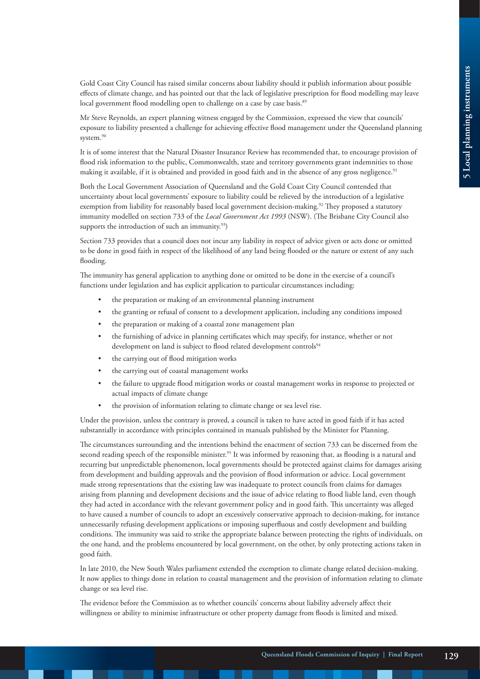Gold Coast City Council has raised similar concerns about liability should it publish information about possible effects of climate change, and has pointed out that the lack of legislative prescription for flood modelling may leave local government flood modelling open to challenge on a case by case basis.<sup>89</sup>

Mr Steve Reynolds, an expert planning witness engaged by the Commission, expressed the view that councils' exposure to liability presented a challenge for achieving effective flood management under the Queensland planning system.<sup>90</sup>

It is of some interest that the Natural Disaster Insurance Review has recommended that, to encourage provision of flood risk information to the public, Commonwealth, state and territory governments grant indemnities to those making it available, if it is obtained and provided in good faith and in the absence of any gross negligence.<sup>91</sup>

Both the Local Government Association of Queensland and the Gold Coast City Council contended that uncertainty about local governments' exposure to liability could be relieved by the introduction of a legislative exemption from liability for reasonably based local government decision-making.<sup>92</sup> They proposed a statutory immunity modelled on section 733 of the *Local Government Act 1993* (NSW). (The Brisbane City Council also supports the introduction of such an immunity. $93$ )

Section 733 provides that a council does not incur any liability in respect of advice given or acts done or omitted to be done in good faith in respect of the likelihood of any land being flooded or the nature or extent of any such flooding.

The immunity has general application to anything done or omitted to be done in the exercise of a council's functions under legislation and has explicit application to particular circumstances including:

- the preparation or making of an environmental planning instrument
- the granting or refusal of consent to a development application, including any conditions imposed
- the preparation or making of a coastal zone management plan
- the furnishing of advice in planning certificates which may specify, for instance, whether or not development on land is subject to flood related development controls<sup>94</sup>
- the carrying out of flood mitigation works
- the carrying out of coastal management works
- the failure to upgrade flood mitigation works or coastal management works in response to projected or actual impacts of climate change
- the provision of information relating to climate change or sea level rise.

Under the provision, unless the contrary is proved, a council is taken to have acted in good faith if it has acted substantially in accordance with principles contained in manuals published by the Minister for Planning.

The circumstances surrounding and the intentions behind the enactment of section 733 can be discerned from the second reading speech of the responsible minister.<sup>95</sup> It was informed by reasoning that, as flooding is a natural and recurring but unpredictable phenomenon, local governments should be protected against claims for damages arising from development and building approvals and the provision of flood information or advice. Local government made strong representations that the existing law was inadequate to protect councils from claims for damages arising from planning and development decisions and the issue of advice relating to flood liable land, even though they had acted in accordance with the relevant government policy and in good faith. This uncertainty was alleged to have caused a number of councils to adopt an excessively conservative approach to decision-making, for instance unnecessarily refusing development applications or imposing superfluous and costly development and building conditions. The immunity was said to strike the appropriate balance between protecting the rights of individuals, on the one hand, and the problems encountered by local government, on the other, by only protecting actions taken in good faith.

In late 2010, the New South Wales parliament extended the exemption to climate change related decision-making. It now applies to things done in relation to coastal management and the provision of information relating to climate change or sea level rise.

The evidence before the Commission as to whether councils' concerns about liability adversely affect their willingness or ability to minimise infrastructure or other property damage from floods is limited and mixed.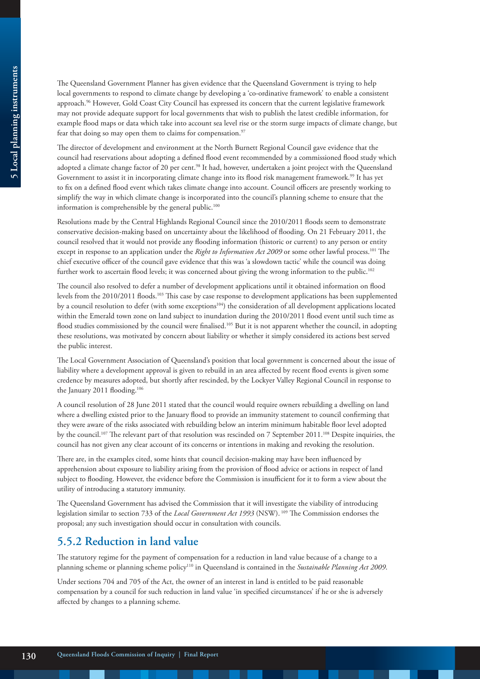The Queensland Government Planner has given evidence that the Queensland Government is trying to help local governments to respond to climate change by developing a 'co-ordinative framework' to enable a consistent approach.96 However, Gold Coast City Council has expressed its concern that the current legislative framework may not provide adequate support for local governments that wish to publish the latest credible information, for example flood maps or data which take into account sea level rise or the storm surge impacts of climate change, but fear that doing so may open them to claims for compensation. $97$ 

The director of development and environment at the North Burnett Regional Council gave evidence that the council had reservations about adopting a defined flood event recommended by a commissioned flood study which adopted a climate change factor of 20 per cent.<sup>98</sup> It had, however, undertaken a joint project with the Queensland Government to assist it in incorporating climate change into its flood risk management framework.<sup>99</sup> It has yet to fix on a defined flood event which takes climate change into account. Council officers are presently working to simplify the way in which climate change is incorporated into the council's planning scheme to ensure that the information is comprehensible by the general public. $100$ 

Resolutions made by the Central Highlands Regional Council since the 2010/2011 floods seem to demonstrate conservative decision-making based on uncertainty about the likelihood of flooding. On 21 February 2011, the council resolved that it would not provide any flooding information (historic or current) to any person or entity except in response to an application under the *Right to Information Act 2009* or some other lawful process.<sup>101</sup> The chief executive officer of the council gave evidence that this was 'a slowdown tactic' while the council was doing further work to ascertain flood levels; it was concerned about giving the wrong information to the public.102

The council also resolved to defer a number of development applications until it obtained information on flood levels from the 2010/2011 floods.103 This case by case response to development applications has been supplemented by a council resolution to defer (with some exceptions<sup>104</sup>) the consideration of all development applications located within the Emerald town zone on land subject to inundation during the 2010/2011 flood event until such time as flood studies commissioned by the council were finalised.<sup>105</sup> But it is not apparent whether the council, in adopting these resolutions, was motivated by concern about liability or whether it simply considered its actions best served the public interest.

The Local Government Association of Queensland's position that local government is concerned about the issue of liability where a development approval is given to rebuild in an area affected by recent flood events is given some credence by measures adopted, but shortly after rescinded, by the Lockyer Valley Regional Council in response to the January 2011 flooding.<sup>106</sup>

A council resolution of 28 June 2011 stated that the council would require owners rebuilding a dwelling on land where a dwelling existed prior to the January flood to provide an immunity statement to council confirming that they were aware of the risks associated with rebuilding below an interim minimum habitable floor level adopted by the council.107 The relevant part of that resolution was rescinded on 7 September 2011.108 Despite inquiries, the council has not given any clear account of its concerns or intentions in making and revoking the resolution.

There are, in the examples cited, some hints that council decision-making may have been influenced by apprehension about exposure to liability arising from the provision of flood advice or actions in respect of land subject to flooding. However, the evidence before the Commission is insufficient for it to form a view about the utility of introducing a statutory immunity.

The Queensland Government has advised the Commission that it will investigate the viability of introducing legislation similar to section 733 of the *Local Government Act 1993* (NSW). 109 The Commission endorses the proposal; any such investigation should occur in consultation with councils.

## **5.5.2 Reduction in land value**

The statutory regime for the payment of compensation for a reduction in land value because of a change to a planning scheme or planning scheme policy<sup>110</sup> in Queensland is contained in the *Sustainable Planning Act 2009*.

Under sections 704 and 705 of the Act, the owner of an interest in land is entitled to be paid reasonable compensation by a council for such reduction in land value 'in specified circumstances' if he or she is adversely affected by changes to a planning scheme.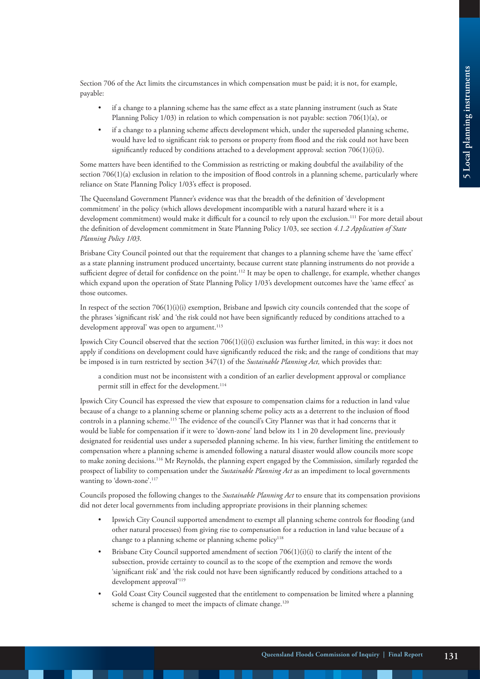Section 706 of the Act limits the circumstances in which compensation must be paid; it is not, for example, payable:

- if a change to a planning scheme has the same effect as a state planning instrument (such as State Planning Policy 1/03) in relation to which compensation is not payable: section 706(1)(a), or
- if a change to a planning scheme affects development which, under the superseded planning scheme, would have led to significant risk to persons or property from flood and the risk could not have been significantly reduced by conditions attached to a development approval: section 706(1)(i)(i).

Some matters have been identified to the Commission as restricting or making doubtful the availability of the section 706(1)(a) exclusion in relation to the imposition of flood controls in a planning scheme, particularly where reliance on State Planning Policy 1/03's effect is proposed.

The Queensland Government Planner's evidence was that the breadth of the definition of 'development commitment' in the policy (which allows development incompatible with a natural hazard where it is a development commitment) would make it difficult for a council to rely upon the exclusion.111 For more detail about the definition of development commitment in State Planning Policy 1/03, see section *4.1.2 Application of State Planning Policy 1/03*.

Brisbane City Council pointed out that the requirement that changes to a planning scheme have the 'same effect' as a state planning instrument produced uncertainty, because current state planning instruments do not provide a sufficient degree of detail for confidence on the point.<sup>112</sup> It may be open to challenge, for example, whether changes which expand upon the operation of State Planning Policy 1/03's development outcomes have the 'same effect' as those outcomes.

In respect of the section  $706(1)(i)$  exemption, Brisbane and Ipswich city councils contended that the scope of the phrases 'significant risk' and 'the risk could not have been significantly reduced by conditions attached to a development approval' was open to argument.<sup>113</sup>

Ipswich City Council observed that the section 706(1)(i)(i) exclusion was further limited, in this way: it does not apply if conditions on development could have significantly reduced the risk; and the range of conditions that may be imposed is in turn restricted by section 347(1) of the *Sustainable Planning Act,* which provides that:

a condition must not be inconsistent with a condition of an earlier development approval or compliance permit still in effect for the development.<sup>114</sup>

Ipswich City Council has expressed the view that exposure to compensation claims for a reduction in land value because of a change to a planning scheme or planning scheme policy acts as a deterrent to the inclusion of flood controls in a planning scheme.115 The evidence of the council's City Planner was that it had concerns that it would be liable for compensation if it were to 'down-zone' land below its 1 in 20 development line, previously designated for residential uses under a superseded planning scheme. In his view, further limiting the entitlement to compensation where a planning scheme is amended following a natural disaster would allow councils more scope to make zoning decisions.116 Mr Reynolds, the planning expert engaged by the Commission, similarly regarded the prospect of liability to compensation under the *Sustainable Planning Act* as an impediment to local governments wanting to 'down-zone'.<sup>117</sup>

Councils proposed the following changes to the *Sustainable Planning Act* to ensure that its compensation provisions did not deter local governments from including appropriate provisions in their planning schemes:

- Ipswich City Council supported amendment to exempt all planning scheme controls for flooding (and other natural processes) from giving rise to compensation for a reduction in land value because of a change to a planning scheme or planning scheme policy<sup>118</sup>
- Brisbane City Council supported amendment of section  $706(1)(i)(i)$  to clarify the intent of the subsection, provide certainty to council as to the scope of the exemption and remove the words 'significant risk' and 'the risk could not have been significantly reduced by conditions attached to a development approval'119
- Gold Coast City Council suggested that the entitlement to compensation be limited where a planning scheme is changed to meet the impacts of climate change.<sup>120</sup>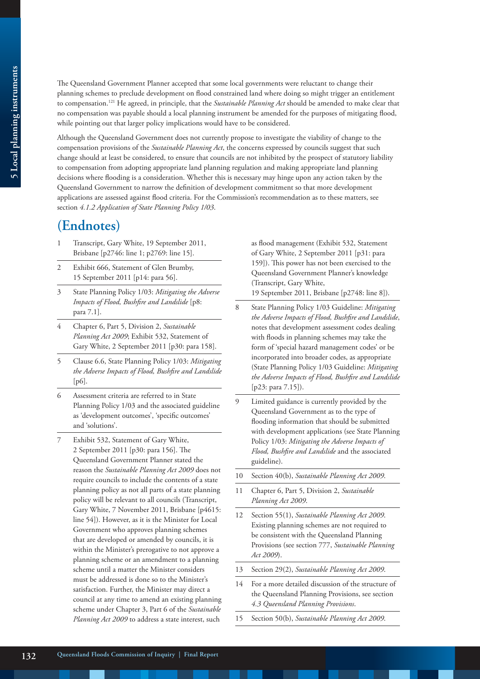The Queensland Government Planner accepted that some local governments were reluctant to change their planning schemes to preclude development on flood constrained land where doing so might trigger an entitlement to compensation.121 He agreed, in principle, that the *Sustainable Planning Act* should be amended to make clear that no compensation was payable should a local planning instrument be amended for the purposes of mitigating flood, while pointing out that larger policy implications would have to be considered.

Although the Queensland Government does not currently propose to investigate the viability of change to the compensation provisions of the *Sustainable Planning Act*, the concerns expressed by councils suggest that such change should at least be considered, to ensure that councils are not inhibited by the prospect of statutory liability to compensation from adopting appropriate land planning regulation and making appropriate land planning decisions where flooding is a consideration. Whether this is necessary may hinge upon any action taken by the Queensland Government to narrow the definition of development commitment so that more development applications are assessed against flood criteria. For the Commission's recommendation as to these matters, see section *4.1.2 Application of State Planning Policy 1/03*.

## **(Endnotes)**

- 1 Transcript, Gary White, 19 September 2011, Brisbane [p2746: line 1; p2769: line 15].
- 2 Exhibit 666, Statement of Glen Brumby, 15 September 2011 [p14: para 56].
- 3 State Planning Policy 1/03: *Mitigating the Adverse Impacts of Flood, Bushfire and Landslide* [p8: para 7.1].
- 4 Chapter 6, Part 5, Division 2, *Sustainable Planning Act 2009*; Exhibit 532, Statement of Gary White, 2 September 2011 [p30: para 158].
- 5 Clause 6.6, State Planning Policy 1/03: *Mitigating the Adverse Impacts of Flood, Bushfire and Landslide*  [p6].
- 6 Assessment criteria are referred to in State Planning Policy 1/03 and the associated guideline as 'development outcomes', 'specific outcomes' and 'solutions'.
- Exhibit 532, Statement of Gary White, 2 September 2011 [p30: para 156]. The Queensland Government Planner stated the reason the *Sustainable Planning Act 2009* does not require councils to include the contents of a state planning policy as not all parts of a state planning policy will be relevant to all councils (Transcript, Gary White, 7 November 2011, Brisbane [p4615: line 54]). However, as it is the Minister for Local Government who approves planning schemes that are developed or amended by councils, it is within the Minister's prerogative to not approve a planning scheme or an amendment to a planning scheme until a matter the Minister considers must be addressed is done so to the Minister's satisfaction. Further, the Minister may direct a council at any time to amend an existing planning scheme under Chapter 3, Part 6 of the *Sustainable Planning Act 2009* to address a state interest, such

as flood management (Exhibit 532, Statement of Gary White, 2 September 2011 [p31: para 159]). This power has not been exercised to the Queensland Government Planner's knowledge (Transcript, Gary White,

19 September 2011, Brisbane [p2748: line 8]).

- 8 State Planning Policy 1/03 Guideline: *Mitigating the Adverse Impacts of Flood, Bushfire and Landslide*, notes that development assessment codes dealing with floods in planning schemes may take the form of 'special hazard management codes' or be incorporated into broader codes, as appropriate (State Planning Policy 1/03 Guideline: *Mitigating the Adverse Impacts of Flood, Bushfire and Landslide* [p23: para 7.15]).
- 9 Limited guidance is currently provided by the Queensland Government as to the type of flooding information that should be submitted with development applications (see State Planning Policy 1/03: *Mitigating the Adverse Impacts of Flood, Bushfire and Landslide* and the associated guideline).
- 10 Section 40(b), *Sustainable Planning Act 2009*.
- 11 Chapter 6, Part 5, Division 2, *Sustainable Planning Act 2009*.
- 12 Section 55(1), *Sustainable Planning Act 2009*. Existing planning schemes are not required to be consistent with the Queensland Planning Provisions (see section 777, *Sustainable Planning Act 2009*).
- 13 Section 29(2), *Sustainable Planning Act 2009*.
- 14 For a more detailed discussion of the structure of the Queensland Planning Provisions, see section *4.3 Queensland Planning Provisions*.
- 15 Section 50(b), *Sustainable Planning Act 2009*.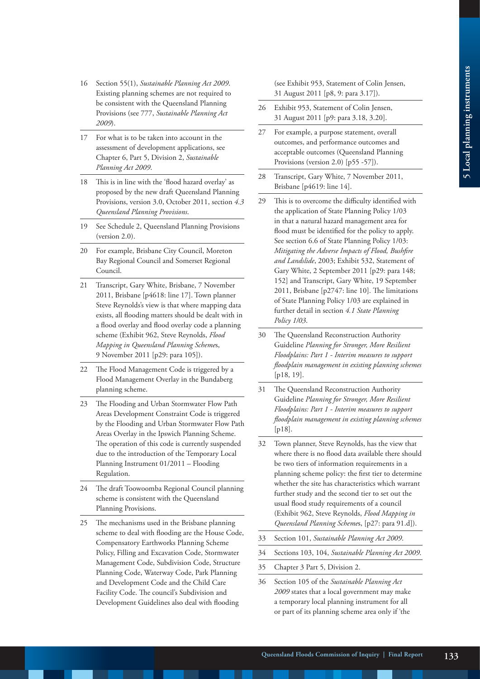- 16 Section 55(1), *Sustainable Planning Act 2009*. Existing planning schemes are not required to be consistent with the Queensland Planning Provisions (see 777, *Sustainable Planning Act 2009*).
- 17 For what is to be taken into account in the assessment of development applications, see Chapter 6, Part 5, Division 2, *Sustainable Planning Act 2009*.
- 18 This is in line with the 'flood hazard overlay' as proposed by the new draft Queensland Planning Provisions, version 3.0, October 2011, section *4.3 Queensland Planning Provisions*.
- 19 See Schedule 2, Queensland Planning Provisions (version 2.0).
- 20 For example, Brisbane City Council, Moreton Bay Regional Council and Somerset Regional Council.
- 21 Transcript, Gary White, Brisbane, 7 November 2011, Brisbane [p4618: line 17]. Town planner Steve Reynolds's view is that where mapping data exists, all flooding matters should be dealt with in a flood overlay and flood overlay code a planning scheme (Exhibit 962, Steve Reynolds, *Flood Mapping in Queensland Planning Scheme*s, 9 November 2011 [p29: para 105]).
- 22 The Flood Management Code is triggered by a Flood Management Overlay in the Bundaberg planning scheme.
- 23 The Flooding and Urban Stormwater Flow Path Areas Development Constraint Code is triggered by the Flooding and Urban Stormwater Flow Path Areas Overlay in the Ipswich Planning Scheme. The operation of this code is currently suspended due to the introduction of the Temporary Local Planning Instrument 01/2011 – Flooding Regulation.
- 24 The draft Toowoomba Regional Council planning scheme is consistent with the Queensland Planning Provisions.
- 25 The mechanisms used in the Brisbane planning scheme to deal with flooding are the House Code, Compensatory Earthworks Planning Scheme Policy, Filling and Excavation Code, Stormwater Management Code, Subdivision Code, Structure Planning Code, Waterway Code, Park Planning and Development Code and the Child Care Facility Code. The council's Subdivision and Development Guidelines also deal with flooding

(see Exhibit 953, Statement of Colin Jensen, 31 August 2011 [p8, 9: para 3.17]).

- 26 Exhibit 953, Statement of Colin Jensen, 31 August 2011 [p9: para 3.18, 3.20].
- 27 For example, a purpose statement, overall outcomes, and performance outcomes and acceptable outcomes (Queensland Planning Provisions (version 2.0) [p55 -57]).
- 28 Transcript, Gary White, 7 November 2011, Brisbane [p4619: line 14].
- 29 This is to overcome the difficulty identified with the application of State Planning Policy 1/03 in that a natural hazard management area for flood must be identified for the policy to apply. See section 6.6 of State Planning Policy 1/03: *Mitigating the Adverse Impacts of Flood, Bushfire and Landslide*, 2003; Exhibit 532, Statement of Gary White, 2 September 2011 [p29: para 148; 152] and Transcript, Gary White, 19 September 2011, Brisbane [p2747: line 10]. The limitations of State Planning Policy 1/03 are explained in further detail in section *4.1 State Planning Policy 1/03*.
- 30 The Queensland Reconstruction Authority Guideline *Planning for Stronger, More Resilient Floodplains: Part 1 - Interim measures to support floodplain management in existing planning schemes* [p18, 19].
- 31 The Queensland Reconstruction Authority Guideline *Planning for Stronger, More Resilient Floodplains: Part 1 - Interim measures to support floodplain management in existing planning schemes* [p18].
- 32 Town planner, Steve Reynolds, has the view that where there is no flood data available there should be two tiers of information requirements in a planning scheme policy: the first tier to determine whether the site has characteristics which warrant further study and the second tier to set out the usual flood study requirements of a council (Exhibit 962, Steve Reynolds, *Flood Mapping in Queensland Planning Scheme*s, [p27: para 91.d]).
- 33 Section 101, *Sustainable Planning Act 2009*.
- 34 Sections 103, 104, *Sustainable Planning Act 2009*.
- 35 Chapter 3 Part 5, Division 2.
- 36 Section 105 of the *Sustainable Planning Act 2009* states that a local government may make a temporary local planning instrument for all or part of its planning scheme area only if 'the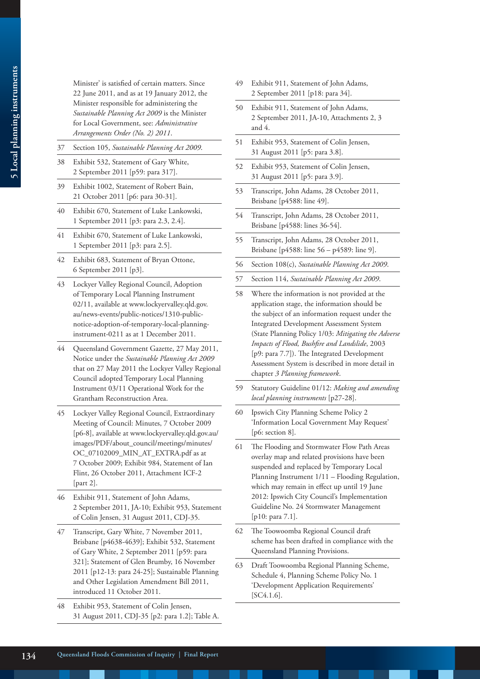Minister' is satisfied of certain matters. Since 22 June 2011, and as at 19 January 2012, the Minister responsible for administering the *Sustainable Planning Act 2009* is the Minister for Local Government, see: *Administrative Arrangements Order (No. 2) 2011*.

- 37 Section 105, *Sustainable Planning Act 2009*.
- 38 Exhibit 532, Statement of Gary White, 2 September 2011 [p59: para 317].
- 39 Exhibit 1002, Statement of Robert Bain, 21 October 2011 [p6: para 30-31].
- 40 Exhibit 670, Statement of Luke Lankowski, 1 September 2011 [p3: para 2.3, 2.4].
- 41 Exhibit 670, Statement of Luke Lankowski, 1 September 2011 [p3: para 2.5].
- 42 Exhibit 683, Statement of Bryan Ottone, 6 September 2011 [p3].
- 43 Lockyer Valley Regional Council, Adoption of Temporary Local Planning Instrument 02/11, available at www.lockyervalley.qld.gov. au/news-events/public-notices/1310-publicnotice-adoption-of-temporary-local-planninginstrument-0211 as at 1 December 2011.
- 44 Queensland Government Gazette, 27 May 2011, Notice under the *Sustainable Planning Act 2009* that on 27 May 2011 the Lockyer Valley Regional Council adopted Temporary Local Planning Instrument 03/11 Operational Work for the Grantham Reconstruction Area.
- 45 Lockyer Valley Regional Council, Extraordinary Meeting of Council: Minutes, 7 October 2009 [p6-8], available at www.lockyervalley.qld.gov.au/ images/PDF/about\_council/meetings/minutes/ OC\_07102009\_MIN\_AT\_EXTRA.pdf as at 7 October 2009; Exhibit 984, Statement of Ian Flint, 26 October 2011, Attachment ICF-2 [part 2].
- 46 Exhibit 911, Statement of John Adams, 2 September 2011, JA-10; Exhibit 953, Statement of Colin Jensen, 31 August 2011, CDJ-35.
- 47 Transcript, Gary White, 7 November 2011, Brisbane [p4638-4639]; Exhibit 532, Statement of Gary White, 2 September 2011 [p59: para 321]; Statement of Glen Brumby, 16 November 2011 [p12-13: para 24-25]; Sustainable Planning and Other Legislation Amendment Bill 2011, introduced 11 October 2011.
- 48 Exhibit 953, Statement of Colin Jensen, 31 August 2011, CDJ-35 [p2: para 1.2]; Table A.
- 49 Exhibit 911, Statement of John Adams, 2 September 2011 [p18: para 34].
- 50 Exhibit 911, Statement of John Adams, 2 September 2011, JA-10, Attachments 2, 3 and 4.
- 51 Exhibit 953, Statement of Colin Jensen, 31 August 2011 [p5: para 3.8].
- 52 Exhibit 953, Statement of Colin Jensen, 31 August 2011 [p5: para 3.9].
- 53 Transcript, John Adams, 28 October 2011, Brisbane [p4588: line 49].
- 54 Transcript, John Adams, 28 October 2011, Brisbane [p4588: lines 36-54].
- 55 Transcript, John Adams, 28 October 2011, Brisbane [p4588: line 56 – p4589: line 9].
- 56 Section 108(c), *Sustainable Planning Act 2009*.
- 57 Section 114, *Sustainable Planning Act 2009*.
- 58 Where the information is not provided at the application stage, the information should be the subject of an information request under the Integrated Development Assessment System (State Planning Policy 1/03: *Mitigating the Adverse Impacts of Flood, Bushfire and Landslide*, 2003 [p9: para 7.7]). The Integrated Development Assessment System is described in more detail in chapter *3 Planning framework*.
- 59 Statutory Guideline 01/12: *Making and amending local planning instruments* [p27-28].
- 60 Ipswich City Planning Scheme Policy 2 'Information Local Government May Request' [p6: section 8].
- 61 The Flooding and Stormwater Flow Path Areas overlay map and related provisions have been suspended and replaced by Temporary Local Planning Instrument 1/11 – Flooding Regulation, which may remain in effect up until 19 June 2012: Ipswich City Council's Implementation Guideline No. 24 Stormwater Management [p10: para 7.1].
- 62 The Toowoomba Regional Council draft scheme has been drafted in compliance with the Queensland Planning Provisions.
- 63 Draft Toowoomba Regional Planning Scheme, Schedule 4, Planning Scheme Policy No. 1 'Development Application Requirements' [SC4.1.6].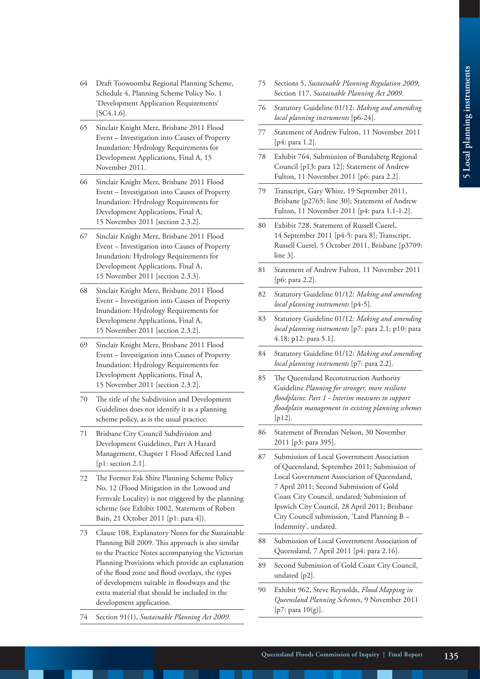- 64 Draft Toowoomba Regional Planning Scheme, Schedule 4, Planning Scheme Policy No. 1 'Development Application Requirements' [SC4.1.6].
- 65 Sinclair Knight Merz, Brisbane 2011 Flood Event – Investigation into Causes of Property Inundation: Hydrology Requirements for Development Applications, Final A, 15 November 2011.
- 66 Sinclair Knight Merz, Brisbane 2011 Flood Event – Investigation into Causes of Property Inundation: Hydrology Requirements for Development Applications, Final A, 15 November 2011 [section 2.3.2].
- 67 Sinclair Knight Merz, Brisbane 2011 Flood Event – Investigation into Causes of Property Inundation: Hydrology Requirements for Development Applications, Final A, 15 November 2011 [section 2.3.3].
- 68 Sinclair Knight Merz, Brisbane 2011 Flood Event – Investigation into Causes of Property Inundation: Hydrology Requirements for Development Applications, Final A, 15 November 2011 [section 2.3.2].
- 69 Sinclair Knight Merz, Brisbane 2011 Flood Event – Investigation into Causes of Property Inundation: Hydrology Requirements for Development Applications, Final A, 15 November 2011 [section 2.3.2].
- 70 The title of the Subdivision and Development Guidelines does not identify it as a planning scheme policy, as is the usual practice.
- 71 Brisbane City Council Subdivision and Development Guidelines, Part A Hazard Management, Chapter 1 Flood Affected Land [p1: section 2.1].
- 72 The Former Esk Shire Planning Scheme Policy No. 12 (Flood Mitigation in the Lowood and Fernvale Locality) is not triggered by the planning scheme (see Exhibit 1002, Statement of Robert Bain, 21 October 2011 [p1: para 4]).
- 73 Clause 108, Explanatory Notes for the Sustainable Planning Bill 2009. This approach is also similar to the Practice Notes accompanying the Victorian Planning Provisions which provide an explanation of the flood zone and flood overlays, the types of development suitable in floodways and the extra material that should be included in the development application.
- 74 Section 91(1), *Sustainable Planning Act 2009*.
- 75 Sections 5, *Sustainable Planning Regulation 2009*; Section 117, *Sustainable Planning Act 2009*.
- 76 Statutory Guideline 01/12: *Making and amending local planning instruments* [p6-24].
- 77 Statement of Andrew Fulton, 11 November 2011 [p4: para 1.2].
- 78 Exhibit 764, Submission of Bundaberg Regional Council [p13: para 12]; Statement of Andrew Fulton, 11 November 2011 [p6: para 2.2].
- 79 Transcript, Gary White, 19 September 2011, Brisbane [p2765: line 30]; Statement of Andrew Fulton, 11 November 2011 [p4: para 1.1-1.2].
- 80 Exhibit 728, Statement of Russell Cuerel, 14 September 2011 [p4-5: para 8]; Transcript, Russell Cuerel, 5 October 2011, Brisbane [p3709: line 3].
- 81 Statement of Andrew Fulton, 11 November 2011 [p6: para 2.2].
- 82 Statutory Guideline 01/12: *Making and amending local planning instruments* [p4-5].
- 83 Statutory Guideline 01/12*: Making and amending local planning instruments* [p7: para 2.1; p10: para 4.18; p12: para 5.1].
- 84 Statutory Guideline 01/12: *Making and amending local planning instruments* [p7: para 2.2].
- 85 The Queensland Reconstruction Authority Guideline *Planning for stronger, more resilient floodplains: Part 1 - Interim measures to support floodplain management in existing planning schemes*  [ $p12$ ].
- 86 Statement of Brendan Nelson, 30 November 2011 [p3: para 395].
- 87 Submission of Local Government Association of Queensland, September 2011; Submission of Local Government Association of Queensland, 7 April 2011; Second Submission of Gold Coast City Council, undated; Submission of Ipswich City Council, 28 April 2011; Brisbane City Council submission, 'Land Planning B – Indemnity', undated.
- 88 Submission of Local Government Association of Queensland, 7 April 2011 [p4: para 2.16].
- 89 Second Submission of Gold Coast City Council, undated [p2].
- 90 Exhibit 962, Steve Reynolds, *Flood Mapping in Queensland Planning Scheme*s, 9 November 2011 [p7: para 10(g)].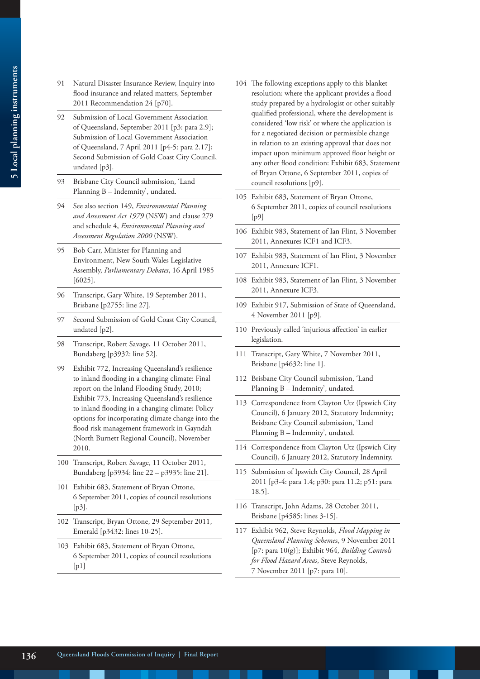- 91 Natural Disaster Insurance Review, Inquiry into flood insurance and related matters, September 2011 Recommendation 24 [p70].
- 92 Submission of Local Government Association of Queensland, September 2011 [p3: para 2.9]; Submission of Local Government Association of Queensland, 7 April 2011 [p4-5: para 2.17]; Second Submission of Gold Coast City Council, undated [p3].
- 93 Brisbane City Council submission, 'Land Planning B – Indemnity', undated.
- 94 See also section 149, *Environmental Planning and Assessment Act 1979* (NSW) and clause 279 and schedule 4, *Environmental Planning and Assessment Regulation 2000* (NSW).
- 95 Bob Carr, Minister for Planning and Environment, New South Wales Legislative Assembly, *Parliamentary Debates*, 16 April 1985 [6025].
- 96 Transcript, Gary White, 19 September 2011, Brisbane [p2755: line 27].
- 97 Second Submission of Gold Coast City Council, undated [p2].
- 98 Transcript, Robert Savage, 11 October 2011, Bundaberg [p3932: line 52].
- 99 Exhibit 772, Increasing Queensland's resilience to inland flooding in a changing climate: Final report on the Inland Flooding Study, 2010; Exhibit 773, Increasing Queensland's resilience to inland flooding in a changing climate: Policy options for incorporating climate change into the flood risk management framework in Gayndah (North Burnett Regional Council), November 2010.
- 100 Transcript, Robert Savage, 11 October 2011, Bundaberg [p3934: line 22 – p3935: line 21].
- 101 Exhibit 683, Statement of Bryan Ottone, 6 September 2011, copies of council resolutions [p3].
- 102 Transcript, Bryan Ottone, 29 September 2011, Emerald [p3432: lines 10-25].
- 103 Exhibit 683, Statement of Bryan Ottone, 6 September 2011, copies of council resolutions  $[p1]$
- 104 The following exceptions apply to this blanket resolution: where the applicant provides a flood study prepared by a hydrologist or other suitably qualified professional, where the development is considered 'low risk' or where the application is for a negotiated decision or permissible change in relation to an existing approval that does not impact upon minimum approved floor height or any other flood condition: Exhibit 683, Statement of Bryan Ottone, 6 September 2011, copies of council resolutions [p9].
- 105 Exhibit 683, Statement of Bryan Ottone, 6 September 2011, copies of council resolutions  $[p9]$
- 106 Exhibit 983, Statement of Ian Flint, 3 November 2011, Annexures ICF1 and ICF3.
- 107 Exhibit 983, Statement of Ian Flint, 3 November 2011, Annexure ICF1.
- 108 Exhibit 983, Statement of Ian Flint, 3 November 2011, Annexure ICF3.
- 109 Exhibit 917, Submission of State of Queensland, 4 November 2011 [p9].
- 110 Previously called 'injurious affection' in earlier legislation.
- 111 Transcript, Gary White, 7 November 2011, Brisbane [p4632: line 1].
- 112 Brisbane City Council submission, 'Land Planning B – Indemnity', undated.
- 113 Correspondence from Clayton Utz (Ipswich City Council), 6 January 2012, Statutory Indemnity; Brisbane City Council submission, 'Land Planning B – Indemnity', undated.
- 114 Correspondence from Clayton Utz (Ipswich City Council), 6 January 2012, Statutory Indemnity.
- 115 Submission of Ipswich City Council, 28 April 2011 [p3-4: para 1.4; p30: para 11.2; p51: para 18.5].
- 116 Transcript, John Adams, 28 October 2011, Brisbane [p4585: lines 3-15].
- 117 Exhibit 962, Steve Reynolds, *Flood Mapping in Queensland Planning Scheme*s, 9 November 2011 [p7: para 10(g)]; Exhibit 964, *Building Controls for Flood Hazard Areas*, Steve Reynolds, 7 November 2011 [p7: para 10].